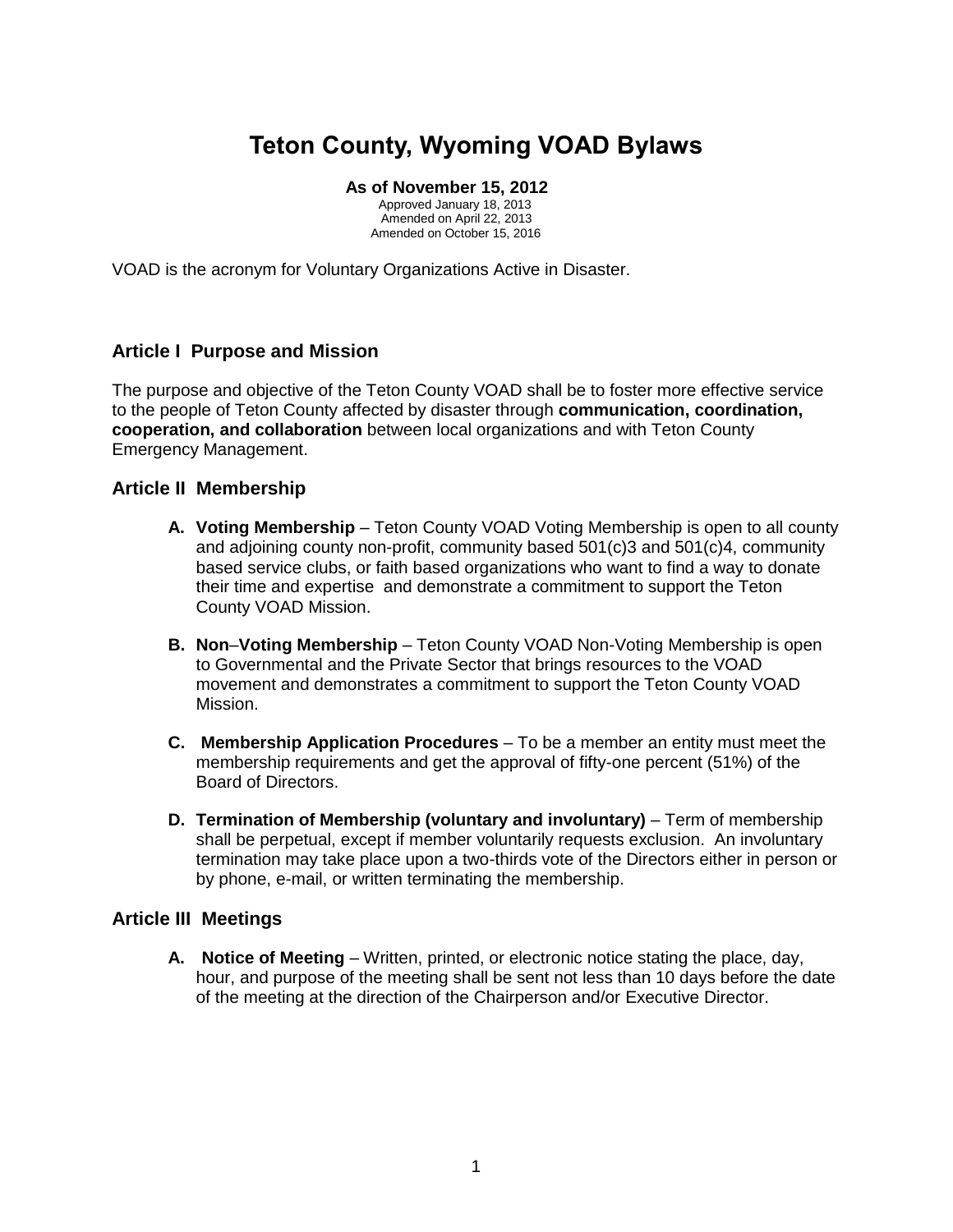# **Teton County, Wyoming VOAD Bylaws**

#### **As of November 15, 2012**

Approved January 18, 2013 Amended on April 22, 2013 Amended on October 15, 2016

VOAD is the acronym for Voluntary Organizations Active in Disaster.

## **Article I Purpose and Mission**

The purpose and objective of the Teton County VOAD shall be to foster more effective service to the people of Teton County affected by disaster through **communication, coordination, cooperation, and collaboration** between local organizations and with Teton County Emergency Management.

#### **Article II Membership**

- **A. Voting Membership** Teton County VOAD Voting Membership is open to all county and adjoining county non-profit, community based 501(c)3 and 501(c)4, community based service clubs, or faith based organizations who want to find a way to donate their time and expertise and demonstrate a commitment to support the Teton County VOAD Mission.
- **B. Non**–**Voting Membership** Teton County VOAD Non-Voting Membership is open to Governmental and the Private Sector that brings resources to the VOAD movement and demonstrates a commitment to support the Teton County VOAD Mission.
- **C. Membership Application Procedures** To be a member an entity must meet the membership requirements and get the approval of fifty-one percent (51%) of the Board of Directors.
- **D. Termination of Membership (voluntary and involuntary)** Term of membership shall be perpetual, except if member voluntarily requests exclusion. An involuntary termination may take place upon a two-thirds vote of the Directors either in person or by phone, e-mail, or written terminating the membership.

### **Article III Meetings**

**A. Notice of Meeting** – Written, printed, or electronic notice stating the place, day, hour, and purpose of the meeting shall be sent not less than 10 days before the date of the meeting at the direction of the Chairperson and/or Executive Director.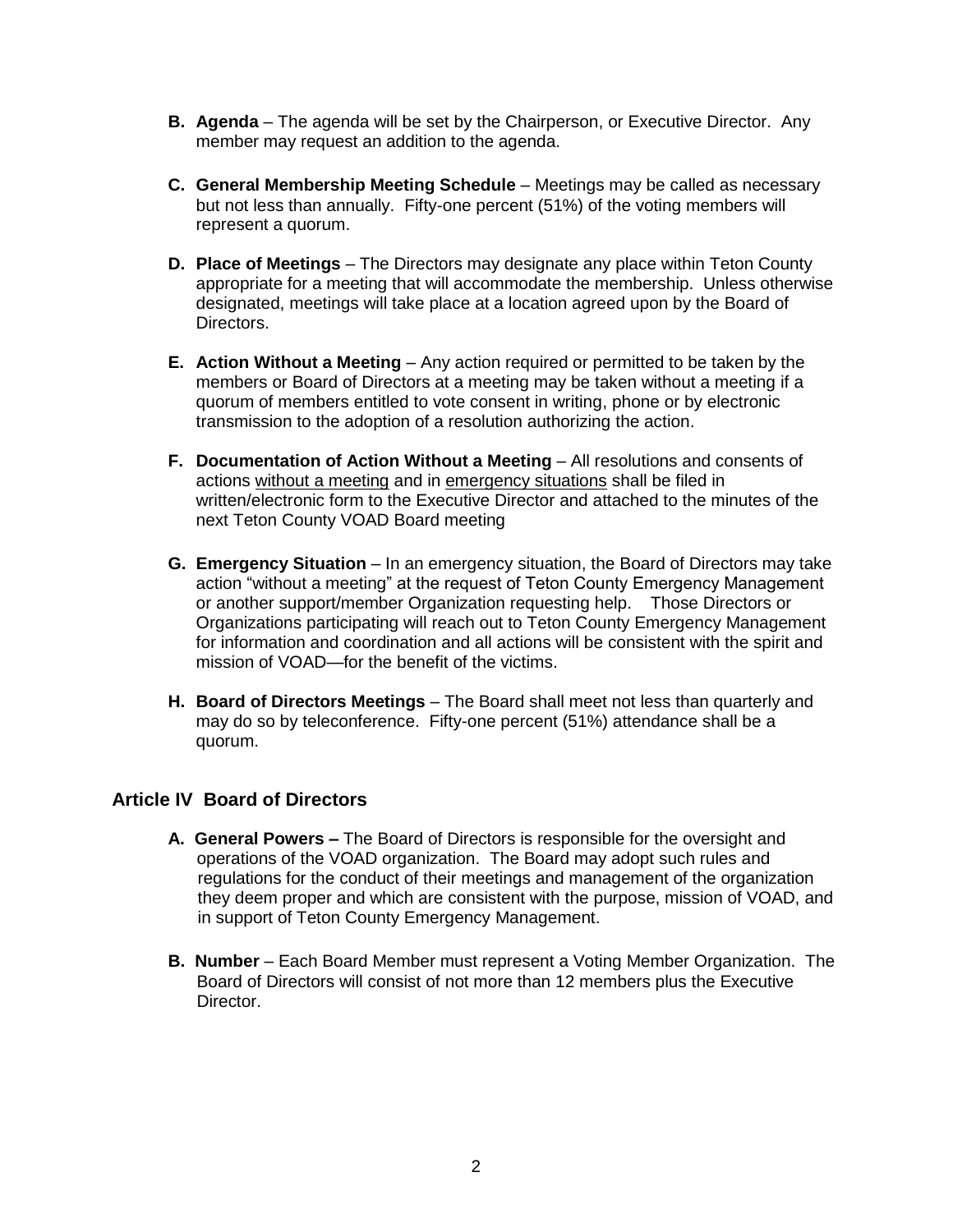- **B. Agenda** The agenda will be set by the Chairperson, or Executive Director. Any member may request an addition to the agenda.
- **C. General Membership Meeting Schedule** Meetings may be called as necessary but not less than annually. Fifty-one percent (51%) of the voting members will represent a quorum.
- **D. Place of Meetings** The Directors may designate any place within Teton County appropriate for a meeting that will accommodate the membership. Unless otherwise designated, meetings will take place at a location agreed upon by the Board of Directors.
- **E. Action Without a Meeting** Any action required or permitted to be taken by the members or Board of Directors at a meeting may be taken without a meeting if a quorum of members entitled to vote consent in writing, phone or by electronic transmission to the adoption of a resolution authorizing the action.
- **F. Documentation of Action Without a Meeting** All resolutions and consents of actions without a meeting and in emergency situations shall be filed in written/electronic form to the Executive Director and attached to the minutes of the next Teton County VOAD Board meeting
- **G. Emergency Situation** In an emergency situation, the Board of Directors may take action "without a meeting" at the request of Teton County Emergency Management or another support/member Organization requesting help. Those Directors or Organizations participating will reach out to Teton County Emergency Management for information and coordination and all actions will be consistent with the spirit and mission of VOAD—for the benefit of the victims.
- **H. Board of Directors Meetings** The Board shall meet not less than quarterly and may do so by teleconference. Fifty-one percent (51%) attendance shall be a quorum.

## **Article IV Board of Directors**

- **A. General Powers –** The Board of Directors is responsible for the oversight and operations of the VOAD organization. The Board may adopt such rules and regulations for the conduct of their meetings and management of the organization they deem proper and which are consistent with the purpose, mission of VOAD, and in support of Teton County Emergency Management.
- **B. Number** Each Board Member must represent a Voting Member Organization. The Board of Directors will consist of not more than 12 members plus the Executive Director.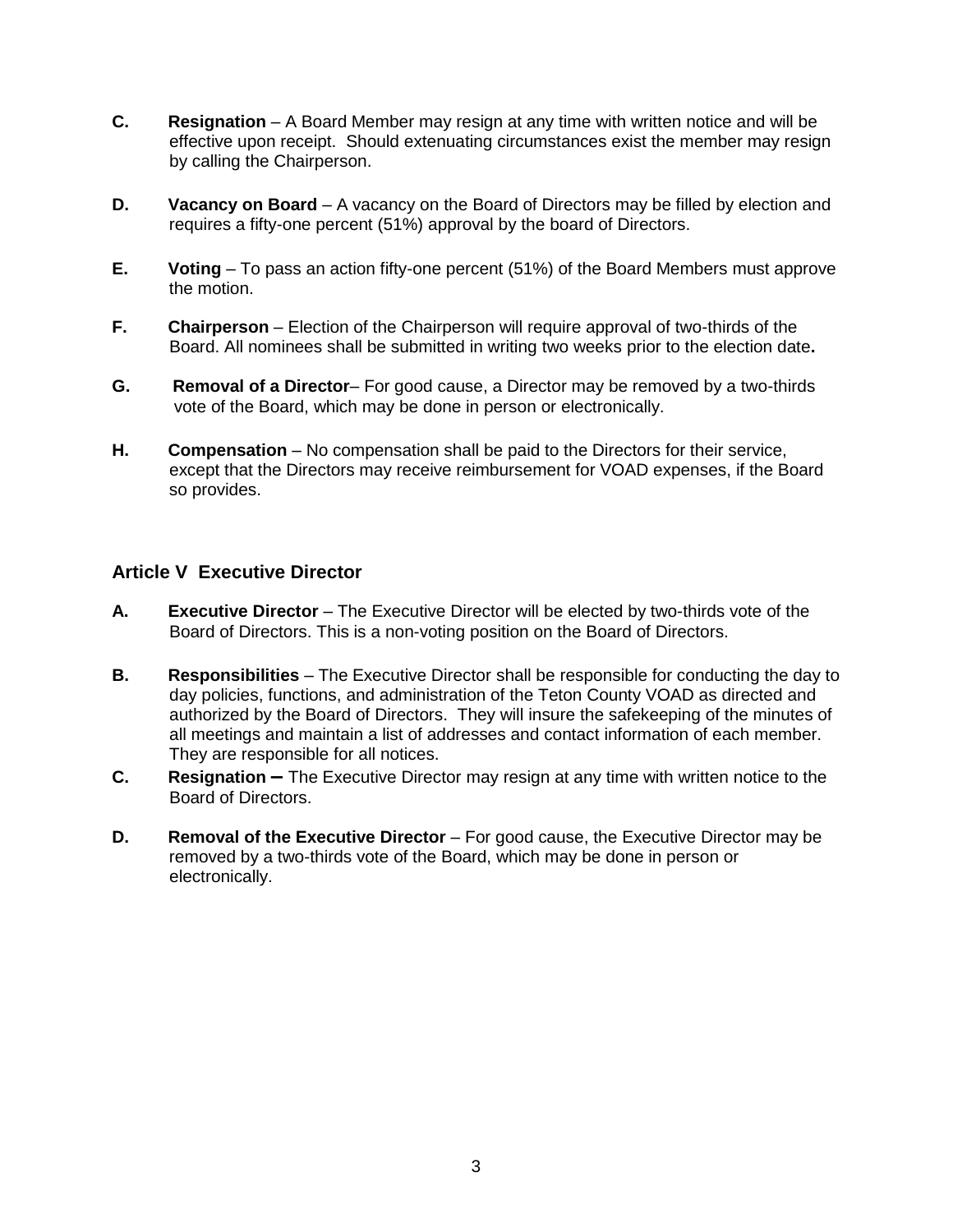- **C. Resignation** A Board Member may resign at any time with written notice and will be effective upon receipt. Should extenuating circumstances exist the member may resign by calling the Chairperson.
- **D. Vacancy on Board** A vacancy on the Board of Directors may be filled by election and requires a fifty-one percent (51%) approval by the board of Directors.
- **E. Voting** To pass an action fifty-one percent (51%) of the Board Members must approve the motion.
- **F. Chairperson** Election of the Chairperson will require approval of two-thirds of the Board. All nominees shall be submitted in writing two weeks prior to the election date**.**
- **G. Removal of a Director** For good cause, a Director may be removed by a two-thirds vote of the Board, which may be done in person or electronically.
- **H. Compensation** No compensation shall be paid to the Directors for their service, except that the Directors may receive reimbursement for VOAD expenses, if the Board so provides.

## **Article V Executive Director**

- **A. Executive Director** The Executive Director will be elected by two-thirds vote of the Board of Directors. This is a non-voting position on the Board of Directors.
- **B. Responsibilities** The Executive Director shall be responsible for conducting the day to day policies, functions, and administration of the Teton County VOAD as directed and authorized by the Board of Directors. They will insure the safekeeping of the minutes of all meetings and maintain a list of addresses and contact information of each member. They are responsible for all notices.
- **C. Resignation –** The Executive Director may resign at any time with written notice to the Board of Directors.
- **D.** Removal of the Executive Director For good cause, the Executive Director may be removed by a two-thirds vote of the Board, which may be done in person or electronically.